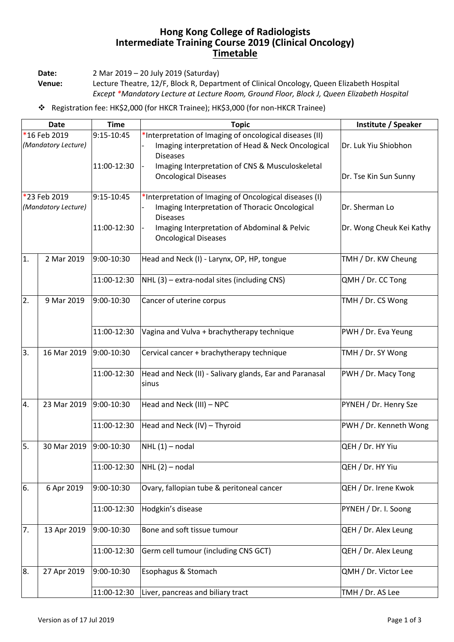## **Hong Kong College of Radiologists Intermediate Training Course 2019 (Clinical Oncology) Timetable**

**Date:** 2 Mar 2019 – 20 July 2019 (Saturday)

**Venue:** Lecture Theatre, 12/F, Block R, Department of Clinical Oncology, Queen Elizabeth Hospital *Except \*Mandatory Lecture at Lecture Room, Ground Floor, Block J, Queen Elizabeth Hospital*

Registration fee: HK\$2,000 (for HKCR Trainee); HK\$3,000 (for non-HKCR Trainee)

| <b>Date</b>                         |             | <b>Time</b> | <b>Topic</b>                                                                                                                    | Institute / Speaker      |
|-------------------------------------|-------------|-------------|---------------------------------------------------------------------------------------------------------------------------------|--------------------------|
| *16 Feb 2019<br>(Mandatory Lecture) |             | 9:15-10:45  | *Interpretation of Imaging of oncological diseases (II)<br>Imaging interpretation of Head & Neck Oncological<br><b>Diseases</b> | Dr. Luk Yiu Shiobhon     |
|                                     |             | 11:00-12:30 | Imaging Interpretation of CNS & Musculoskeletal<br><b>Oncological Diseases</b>                                                  | Dr. Tse Kin Sun Sunny    |
| *23 Feb 2019<br>(Mandatory Lecture) |             | 9:15-10:45  | *Interpretation of Imaging of Oncological diseases (I)<br>Imaging Interpretation of Thoracic Oncological<br><b>Diseases</b>     | Dr. Sherman Lo           |
|                                     |             | 11:00-12:30 | Imaging Interpretation of Abdominal & Pelvic<br><b>Oncological Diseases</b>                                                     | Dr. Wong Cheuk Kei Kathy |
| 1.                                  | 2 Mar 2019  | 9:00-10:30  | Head and Neck (I) - Larynx, OP, HP, tongue                                                                                      | TMH / Dr. KW Cheung      |
|                                     |             | 11:00-12:30 | NHL (3) - extra-nodal sites (including CNS)                                                                                     | QMH / Dr. CC Tong        |
| 2.                                  | 9 Mar 2019  | 9:00-10:30  | Cancer of uterine corpus                                                                                                        | TMH / Dr. CS Wong        |
|                                     |             | 11:00-12:30 | Vagina and Vulva + brachytherapy technique                                                                                      | PWH / Dr. Eva Yeung      |
| 3.                                  | 16 Mar 2019 | 9:00-10:30  | Cervical cancer + brachytherapy technique                                                                                       | TMH / Dr. SY Wong        |
|                                     |             | 11:00-12:30 | Head and Neck (II) - Salivary glands, Ear and Paranasal<br>sinus                                                                | PWH / Dr. Macy Tong      |
| 4.                                  | 23 Mar 2019 | 9:00-10:30  | Head and Neck (III) - NPC                                                                                                       | PYNEH / Dr. Henry Sze    |
|                                     |             | 11:00-12:30 | Head and Neck (IV) - Thyroid                                                                                                    | PWH / Dr. Kenneth Wong   |
| 5.                                  | 30 Mar 2019 | 9:00-10:30  | $NHL(1)$ – nodal                                                                                                                | QEH / Dr. HY Yiu         |
|                                     |             | 11:00-12:30 | $NHL(2)$ – nodal                                                                                                                | QEH / Dr. HY Yiu         |
| 6.                                  | 6 Apr 2019  | 9:00-10:30  | Ovary, fallopian tube & peritoneal cancer                                                                                       | QEH / Dr. Irene Kwok     |
|                                     |             | 11:00-12:30 | Hodgkin's disease                                                                                                               | PYNEH / Dr. I. Soong     |
| 7.                                  | 13 Apr 2019 | 9:00-10:30  | Bone and soft tissue tumour                                                                                                     | QEH / Dr. Alex Leung     |
|                                     |             | 11:00-12:30 | Germ cell tumour (including CNS GCT)                                                                                            | QEH / Dr. Alex Leung     |
| 8.                                  | 27 Apr 2019 | 9:00-10:30  | Esophagus & Stomach                                                                                                             | QMH / Dr. Victor Lee     |
|                                     |             | 11:00-12:30 | Liver, pancreas and biliary tract                                                                                               | TMH / Dr. AS Lee         |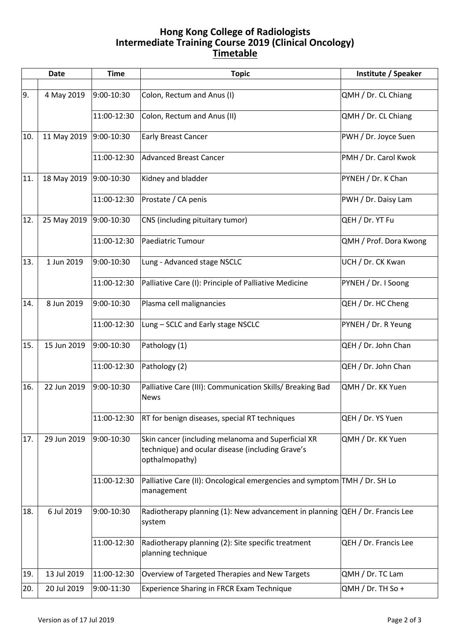## **Hong Kong College of Radiologists Intermediate Training Course 2019 (Clinical Oncology) Timetable**

|     | Date        | <b>Time</b> | <b>Topic</b>                                                                                                             | Institute / Speaker    |
|-----|-------------|-------------|--------------------------------------------------------------------------------------------------------------------------|------------------------|
| 9.  | 4 May 2019  | 9:00-10:30  | Colon, Rectum and Anus (I)                                                                                               | QMH / Dr. CL Chiang    |
|     |             | 11:00-12:30 | Colon, Rectum and Anus (II)                                                                                              | QMH / Dr. CL Chiang    |
| 10. | 11 May 2019 | 9:00-10:30  | <b>Early Breast Cancer</b>                                                                                               | PWH / Dr. Joyce Suen   |
|     |             | 11:00-12:30 | <b>Advanced Breast Cancer</b>                                                                                            | PMH / Dr. Carol Kwok   |
| 11. | 18 May 2019 | 9:00-10:30  | Kidney and bladder                                                                                                       | PYNEH / Dr. K Chan     |
|     |             | 11:00-12:30 | Prostate / CA penis                                                                                                      | PWH / Dr. Daisy Lam    |
| 12. | 25 May 2019 | 9:00-10:30  | CNS (including pituitary tumor)                                                                                          | QEH / Dr. YT Fu        |
|     |             | 11:00-12:30 | Paediatric Tumour                                                                                                        | QMH / Prof. Dora Kwong |
| 13. | 1 Jun 2019  | 9:00-10:30  | Lung - Advanced stage NSCLC                                                                                              | UCH / Dr. CK Kwan      |
|     |             | 11:00-12:30 | Palliative Care (I): Principle of Palliative Medicine                                                                    | PYNEH / Dr. I Soong    |
| 14. | 8 Jun 2019  | 9:00-10:30  | Plasma cell malignancies                                                                                                 | QEH / Dr. HC Cheng     |
|     |             | 11:00-12:30 | Lung - SCLC and Early stage NSCLC                                                                                        | PYNEH / Dr. R Yeung    |
| 15. | 15 Jun 2019 | 9:00-10:30  | Pathology (1)                                                                                                            | QEH / Dr. John Chan    |
|     |             | 11:00-12:30 | Pathology (2)                                                                                                            | QEH / Dr. John Chan    |
| 16. | 22 Jun 2019 | 9:00-10:30  | Palliative Care (III): Communication Skills/ Breaking Bad<br><b>News</b>                                                 | QMH / Dr. KK Yuen      |
|     |             | 11:00-12:30 | RT for benign diseases, special RT techniques                                                                            | QEH / Dr. YS Yuen      |
| 17. | 29 Jun 2019 | 9:00-10:30  | Skin cancer (including melanoma and Superficial XR<br>technique) and ocular disease (including Grave's<br>opthalmopathy) | QMH / Dr. KK Yuen      |
|     |             | 11:00-12:30 | Palliative Care (II): Oncological emergencies and symptom TMH / Dr. SH Lo<br>management                                  |                        |
| 18. | 6 Jul 2019  | 9:00-10:30  | Radiotherapy planning (1): New advancement in planning QEH / Dr. Francis Lee<br>system                                   |                        |
|     |             | 11:00-12:30 | Radiotherapy planning (2): Site specific treatment<br>planning technique                                                 | QEH / Dr. Francis Lee  |
| 19. | 13 Jul 2019 | 11:00-12:30 | Overview of Targeted Therapies and New Targets                                                                           | QMH / Dr. TC Lam       |
| 20. | 20 Jul 2019 | 9:00-11:30  | Experience Sharing in FRCR Exam Technique                                                                                | $QMH / Dr. TH$ So +    |